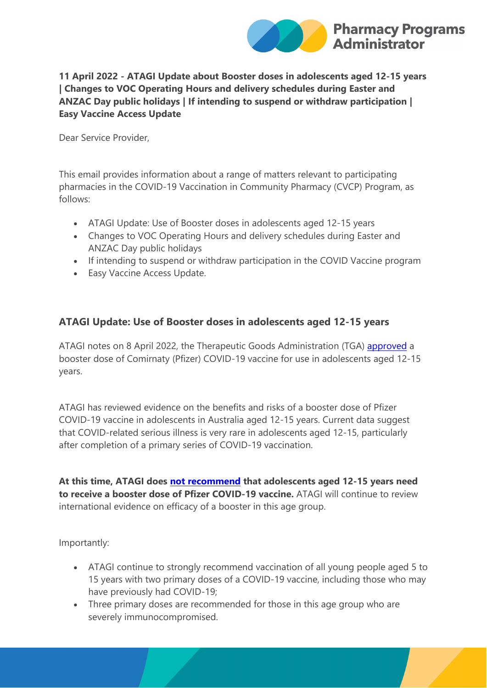

### **11 April 2022 - ATAGI Update about Booster doses in adolescents aged 12-15 years | Changes to VOC Operating Hours and delivery schedules during Easter and ANZAC Day public holidays | If intending to suspend or withdraw participation | Easy Vaccine Access Update**

Dear Service Provider,

This email provides information about a range of matters relevant to participating pharmacies in the COVID-19 Vaccination in Community Pharmacy (CVCP) Program, as follows:

- ATAGI Update: Use of Booster doses in adolescents aged 12-15 years
- Changes to VOC Operating Hours and delivery schedules during Easter and ANZAC Day public holidays
- If intending to suspend or withdraw participation in the COVID Vaccine program
- Easy Vaccine Access Update.

## **ATAGI Update: Use of Booster doses in adolescents aged 12-15 years**

ATAGI notes on 8 April 2022, the Therapeutic Goods Administration (TGA) [approved](https://protect-au.mimecast.com/s/4AvBC6XQ19CGXR1s6C-6a?domain=tga.gov.au) a booster dose of Comirnaty (Pfizer) COVID-19 vaccine for use in adolescents aged 12-15 years.

ATAGI has reviewed evidence on the benefits and risks of a booster dose of Pfizer COVID-19 vaccine in adolescents in Australia aged 12-15 years. Current data suggest that COVID-related serious illness is very rare in adolescents aged 12-15, particularly after completion of a primary series of COVID-19 vaccination.

**At this time, ATAGI does [not recommend](https://protect-au.mimecast.com/s/85v0C71RZXuWLrQIBg3Dc?domain=health.gov.au) that adolescents aged 12-15 years need to receive a booster dose of Pfizer COVID-19 vaccine.** ATAGI will continue to review international evidence on efficacy of a booster in this age group.

Importantly:

- ATAGI continue to strongly recommend vaccination of all young people aged 5 to 15 years with two primary doses of a COVID-19 vaccine, including those who may have previously had COVID-19;
- Three primary doses are recommended for those in this age group who are severely immunocompromised.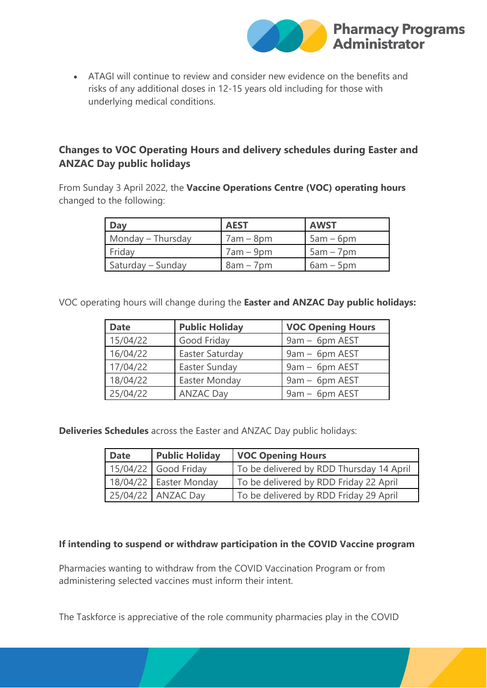

• ATAGI will continue to review and consider new evidence on the benefits and risks of any additional doses in 12-15 years old including for those with underlying medical conditions.

# **Changes to VOC Operating Hours and delivery schedules during Easter and ANZAC Day public holidays**

From Sunday 3 April 2022, the **Vaccine Operations Centre (VOC) operating hours** changed to the following:

| Day               | <b>AEST</b> | <b>AWST</b> |
|-------------------|-------------|-------------|
| Monday - Thursday | $7am - 8pm$ | $5am - 6pm$ |
| Friday            | $7am - 9pm$ | $5am - 7pm$ |
| Saturday – Sunday | $8am - 7pm$ | $6am - 5pm$ |

VOC operating hours will change during the **Easter and ANZAC Day public holidays:**

| <b>Date</b> | <b>Public Holiday</b> | <b>VOC Opening Hours</b> |
|-------------|-----------------------|--------------------------|
| 15/04/22    | Good Friday           | 9am - 6pm AEST           |
| 16/04/22    | Easter Saturday       | 9am - 6pm AEST           |
| 17/04/22    | Easter Sunday         | 9am - 6pm AEST           |
| 18/04/22    | Easter Monday         | 9am - 6pm AEST           |
| 25/04/22    | <b>ANZAC Day</b>      | 9am - 6pm AEST           |

**Deliveries Schedules** across the Easter and ANZAC Day public holidays:

| <b>Date</b> | <b>Public Holiday</b>  | <b>VOC Opening Hours</b>                 |  |
|-------------|------------------------|------------------------------------------|--|
|             | 15/04/22 Good Friday   | To be delivered by RDD Thursday 14 April |  |
|             | 18/04/22 Easter Monday | To be delivered by RDD Friday 22 April   |  |
|             | 25/04/22 ANZAC Day     | To be delivered by RDD Friday 29 April   |  |

#### **If intending to suspend or withdraw participation in the COVID Vaccine program**

Pharmacies wanting to withdraw from the COVID Vaccination Program or from administering selected vaccines must inform their intent.

The Taskforce is appreciative of the role community pharmacies play in the COVID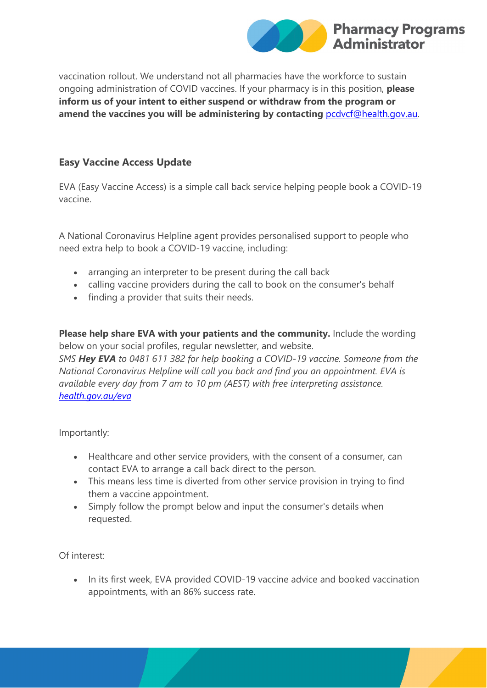

vaccination rollout. We understand not all pharmacies have the workforce to sustain ongoing administration of COVID vaccines. If your pharmacy is in this position, **please inform us of your intent to either suspend or withdraw from the program or amend the vaccines you will be administering by contacting** [pcdvcf@health.gov.au.](mailto:pcdvcf@health.gov.au)

## **Easy Vaccine Access Update**

EVA (Easy Vaccine Access) is a simple call back service helping people book a COVID-19 vaccine.

A National Coronavirus Helpline agent provides personalised support to people who need extra help to book a COVID-19 vaccine, including:

- arranging an interpreter to be present during the call back
- calling vaccine providers during the call to book on the consumer's behalf
- finding a provider that suits their needs.

**Please help share EVA with your patients and the community.** Include the wording below on your social profiles, regular newsletter, and website. *SMS Hey EVA to 0481 611 382 for help booking a COVID-19 vaccine. Someone from the National Coronavirus Helpline will call you back and find you an appointment. EVA is available every day from 7 am to 10 pm (AEST) with free interpreting assistance. [health.gov.au/eva](https://protect-au.mimecast.com/s/e-wzC81VZEuw9mzIMMnS9?domain=health.gov.au)*

Importantly:

- Healthcare and other service providers, with the consent of a consumer, can contact EVA to arrange a call back direct to the person.
- This means less time is diverted from other service provision in trying to find them a vaccine appointment.
- Simply follow the prompt below and input the consumer's details when requested.

Of interest:

• In its first week, EVA provided COVID-19 vaccine advice and booked vaccination appointments, with an 86% success rate.